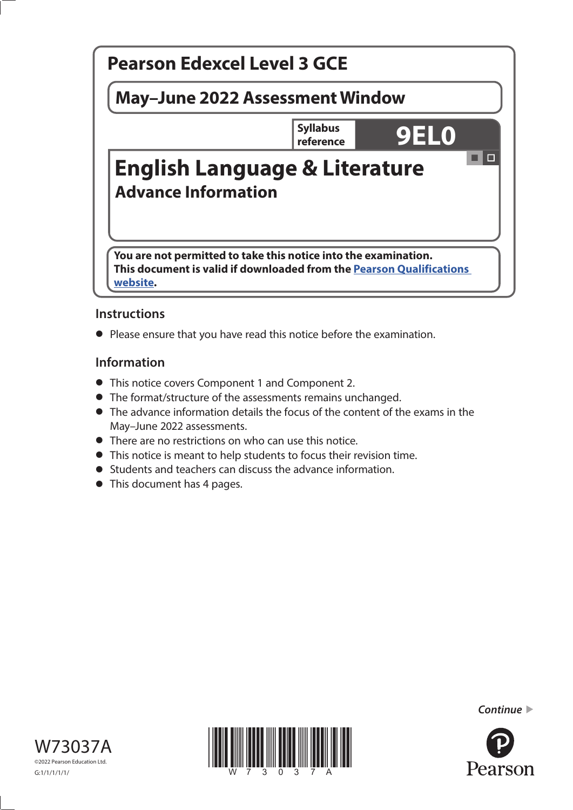

# **Instructions**

**•** Please ensure that you have read this notice before the examination.

# **Information**

- **•** This notice covers Component 1 and Component 2.
- **•** The format/structure of the assessments remains unchanged.
- **•** The advance information details the focus of the content of the exams in the May–June 2022 assessments.
- **•** There are no restrictions on who can use this notice.
- **•** This notice is meant to help students to focus their revision time.
- **•** Students and teachers can discuss the advance information.
- **•** This document has 4 pages.





*Continue* 

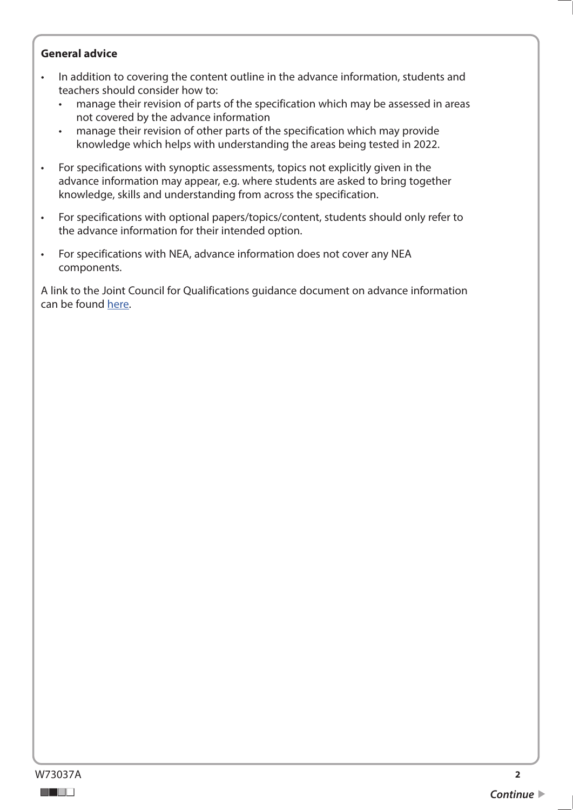## **General advice**

- In addition to covering the content outline in the advance information, students and teachers should consider how to:
	- manage their revision of parts of the specification which may be assessed in areas not covered by the advance information
	- manage their revision of other parts of the specification which may provide knowledge which helps with understanding the areas being tested in 2022.
- For specifications with synoptic assessments, topics not explicitly given in the advance information may appear, e.g. where students are asked to bring together knowledge, skills and understanding from across the specification.
- For specifications with optional papers/topics/content, students should only refer to the advance information for their intended option.
- For specifications with NEA, advance information does not cover any NEA components.

A link to the Joint Council for Qualifications guidance document on advance information can be found [here.](https://www.jcq.org.uk/wp-content/uploads/2021/10/Advance-Information-for-General-Qualifications-2021-22.pdf)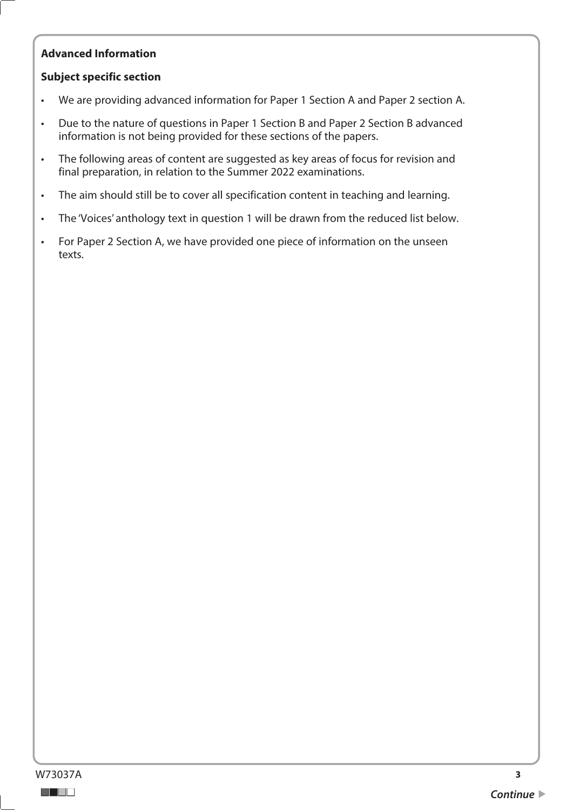# **Advanced Information**

# **Subject specific section**

- We are providing advanced information for Paper 1 Section A and Paper 2 section A.
- Due to the nature of questions in Paper 1 Section B and Paper 2 Section B advanced information is not being provided for these sections of the papers.
- The following areas of content are suggested as key areas of focus for revision and final preparation, in relation to the Summer 2022 examinations.
- The aim should still be to cover all specification content in teaching and learning.
- The 'Voices' anthology text in question 1 will be drawn from the reduced list below.
- For Paper 2 Section A, we have provided one piece of information on the unseen texts.